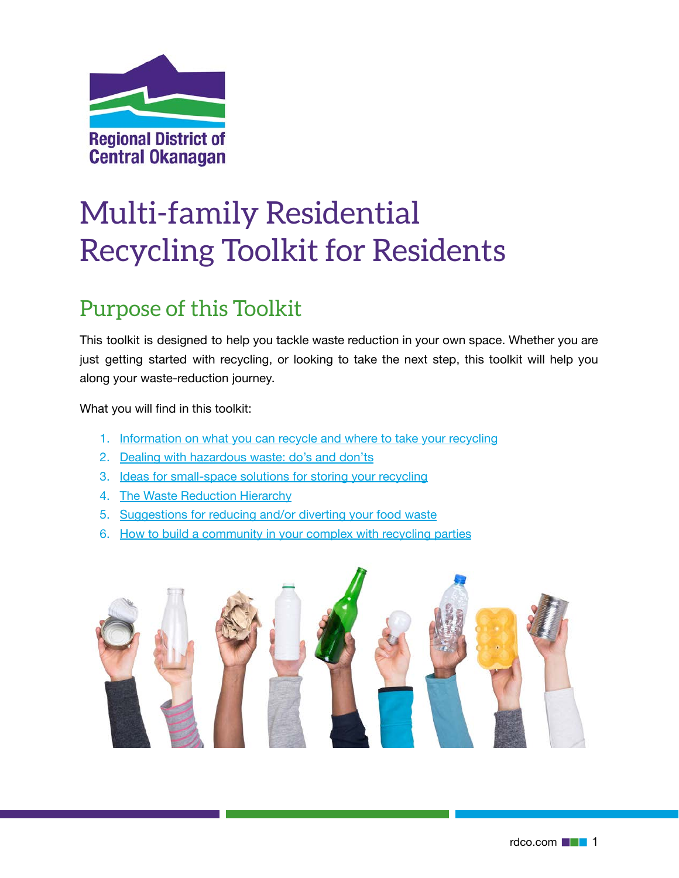

# Multi-family Residential Recycling Toolkit for Residents

## <span id="page-0-0"></span>Purpose of this Toolkit

This toolkit is designed to help you tackle waste reduction in your own space. Whether you are just getting started with recycling, or looking to take the next step, this toolkit will help you along your waste-reduction journey.

What you will find in this toolkit:

- 1. [Information on what you can recycle and where to take your recycling](#page-2-0)
- 2. [Dealing with hazardous waste: do's and don'ts](#page-2-1)
- 3. [Ideas for small-space solutions for storing your recycling](#page-4-0)
- 4. [The Waste Reduction Hierarchy](#page-5-0)
- 5. [Suggestions for reducing and/or diverting your food waste](#page-7-0)
- 6. [How to build a community in your complex with recycling parties](#page-8-0)

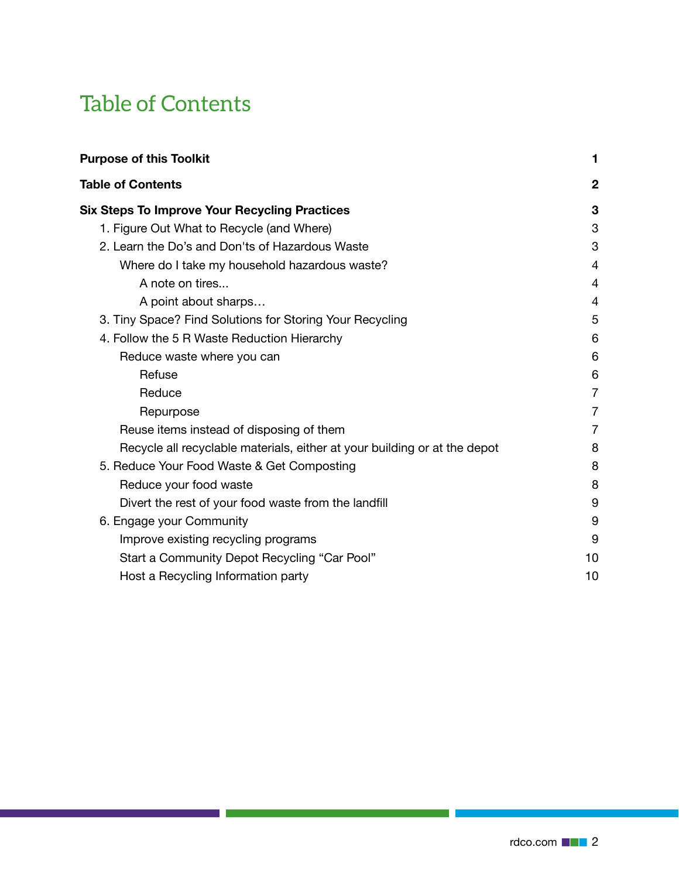## <span id="page-1-0"></span>Table of Contents

a sa salawan na katalog sa sang

×

| <b>Purpose of this Toolkit</b>                                            |                |
|---------------------------------------------------------------------------|----------------|
| <b>Table of Contents</b>                                                  | $\mathbf{2}$   |
| <b>Six Steps To Improve Your Recycling Practices</b>                      | 3              |
| 1. Figure Out What to Recycle (and Where)                                 | 3              |
| 2. Learn the Do's and Don'ts of Hazardous Waste                           | 3              |
| Where do I take my household hazardous waste?                             | 4              |
| A note on tires                                                           | 4              |
| A point about sharps                                                      | 4              |
| 3. Tiny Space? Find Solutions for Storing Your Recycling                  | 5              |
| 4. Follow the 5 R Waste Reduction Hierarchy                               | 6              |
| Reduce waste where you can                                                | 6              |
| Refuse                                                                    | 6              |
| Reduce                                                                    | $\overline{7}$ |
| Repurpose                                                                 | 7              |
| Reuse items instead of disposing of them                                  | $\overline{7}$ |
| Recycle all recyclable materials, either at your building or at the depot | 8              |
| 5. Reduce Your Food Waste & Get Composting                                | 8              |
| Reduce your food waste                                                    | 8              |
| Divert the rest of your food waste from the landfill                      | 9              |
| 6. Engage your Community                                                  | 9              |
| Improve existing recycling programs                                       | 9              |
| Start a Community Depot Recycling "Car Pool"                              | 10             |
| Host a Recycling Information party                                        | 10             |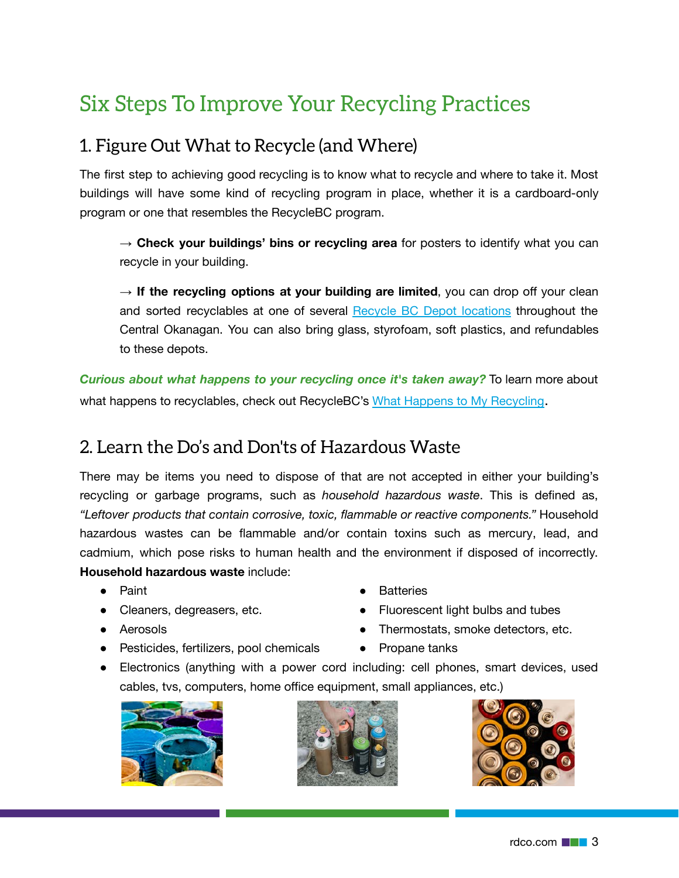## <span id="page-2-2"></span>Six Steps To Improve Your Recycling Practices

## <span id="page-2-0"></span>1. Figure Out What to Recycle (and Where)

The first step to achieving good recycling is to know what to recycle and where to take it. Most buildings will have some kind of recycling program in place, whether it is a cardboard-only program or one that resembles the RecycleBC program.

→ **Check your buildings' bins or recycling area** for posters to identify what you can recycle in your building.

→ If the recycling options at your building are limited, you can drop off your clean and sorted recyclables at one of several [Recycle BC Depot locations](https://recyclebc.ca/where-to-recycle/find-depot/) throughout the Central Okanagan. You can also bring glass, styrofoam, soft plastics, and refundables to these depots.

*Curious about what happens to your recycling once it's taken away?* To learn more about what happens to recyclables, check out RecycleBC's [What Happens to My Recycling](https://recyclebc.ca/what-happens-to-my-recycling-post-collection/).

## <span id="page-2-1"></span>2. Learn the Do's and Don'ts of Hazardous Waste

There may be items you need to dispose of that are not accepted in either your building's recycling or garbage programs, such as *household hazardous waste*. This is defined as, *"Leftover products that contain corrosive, toxic, flammable or reactive components."* Household hazardous wastes can be flammable and/or contain toxins such as mercury, lead, and cadmium, which pose risks to human health and the environment if disposed of incorrectly. **Household hazardous waste** include:

- Paint
- Cleaners, degreasers, etc.
- Aerosols
- Pesticides, fertilizers, pool chemicals
- Batteries
- Fluorescent light bulbs and tubes
- Thermostats, smoke detectors, etc.
- Propane tanks
- Electronics (anything with a power cord including: cell phones, smart devices, used cables, tvs, computers, home office equipment, small appliances, etc.)





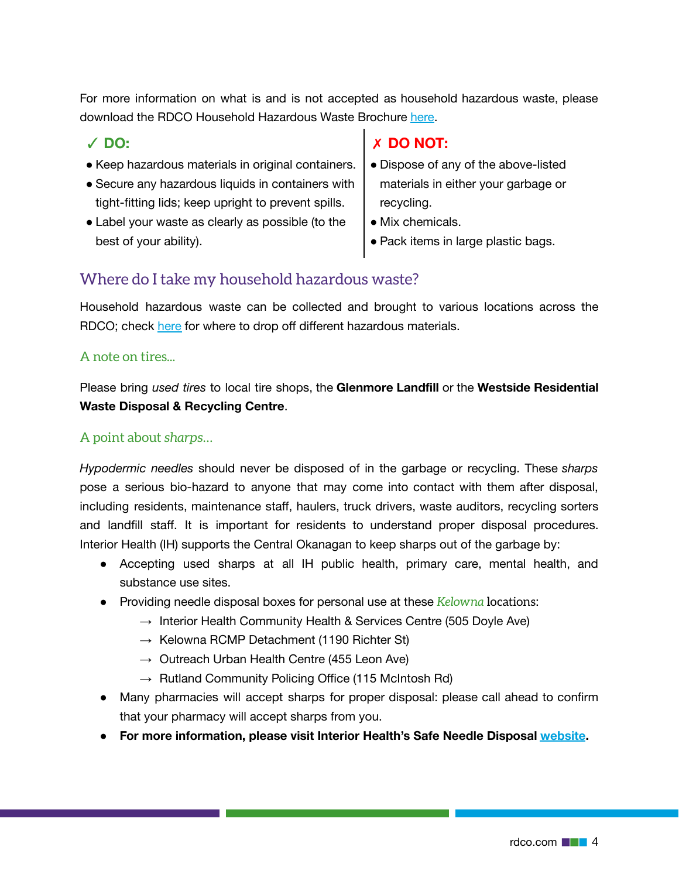For more information on what is and is not accepted as household hazardous waste, please download the RDCO Household Hazardous Waste Brochure [here.](https://www.rdco.com/en/living-here/resources/Waste-Reduction/Documents/HHW_Brochure.pdf)

- ✓ **DO:**
- Keep hazardous materials in original containers.
- Secure any hazardous liquids in containers with tight-fitting lids; keep upright to prevent spills.
- Label your waste as clearly as possible (to the best of your ability).

#### ✗ **DO NOT:**

- Dispose of any of the above-listed materials in either your garbage or recycling.
- Mix chemicals.
- Pack items in large plastic bags.

#### <span id="page-3-0"></span>Where do I take my household hazardous waste?

Household hazardous waste can be collected and brought to various locations across the RDCO; check [here](http://rdco.com/hazwaste) for where to drop off different hazardous materials.

#### <span id="page-3-1"></span>A note on tires...

Please bring *used tires* to local tire shops, the **Glenmore Landfill** or the **Westside Residential Waste Disposal & Recycling Centre**.

#### <span id="page-3-2"></span>A point about *sharps*…

*Hypodermic needles* should never be disposed of in the garbage or recycling. These *sharps* pose a serious bio-hazard to anyone that may come into contact with them after disposal, including residents, maintenance staff, haulers, truck drivers, waste auditors, recycling sorters and landfill staff. It is important for residents to understand proper disposal procedures. Interior Health (IH) supports the Central Okanagan to keep sharps out of the garbage by:

- Accepting used sharps at all IH public health, primary care, mental health, and substance use sites.
- Providing needle disposal boxes for personal use at these *Kelowna* locations:
	- $\rightarrow$  Interior Health Community Health & Services Centre (505 Doyle Ave)
	- $\rightarrow$  Kelowna RCMP Detachment (1190 Richter St)
	- $\rightarrow$  Outreach Urban Health Centre (455 Leon Ave)
	- $\rightarrow$  Rutland Community Policing Office (115 McIntosh Rd)
- Many pharmacies will accept sharps for proper disposal: please call ahead to confirm that your pharmacy will accept sharps from you.
- **● For more information, please visit Interior Health's Safe Needle Disposal [website](https://www.interiorhealth.ca/sites/default/files/PDFS/safe-needle-disposal-best-practices.pdf).**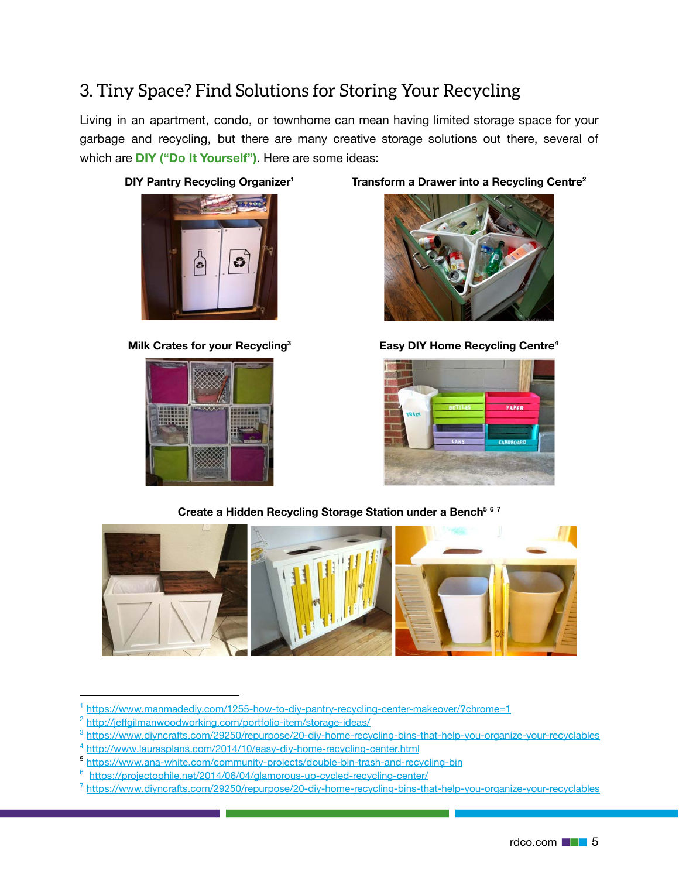## <span id="page-4-0"></span>3. Tiny Space? Find Solutions for Storing Your Recycling

Living in an apartment, condo, or townhome can mean having limited storage space for your garbage and recycling, but there are many creative storage solutions out there, several of which are **DIY ("Do It Yourself")**. Here are some ideas:







#### **DIY Pantry Recycling Organizer<sup>1</sup> Transform a Drawer into a Recycling Centre<sup>2</sup>**



**Milk Crates for your Recycling<sup>3</sup> Easy DIY Home Recycling Centre<sup>4</sup>**



**Create a Hidden Recycling Storage Station under a Bench<sup>5</sup> <sup>6</sup> <sup>7</sup>**



<sup>1</sup> <https://www.manmadediy.com/1255-how-to-diy-pantry-recycling-center-makeover/?chrome=1>

<sup>&</sup>lt;sup>2</sup> <http://jeffgilmanwoodworking.com/portfolio-item/storage-ideas/>

<sup>3</sup> <https://www.diyncrafts.com/29250/repurpose/20-diy-home-recycling-bins-that-help-you-organize-your-recyclables>

<sup>4</sup> <http://www.laurasplans.com/2014/10/easy-diy-home-recycling-center.html>

<sup>5</sup> <https://www.ana-white.com/community-projects/double-bin-trash-and-recycling-bin>

<sup>6</sup> <https://projectophile.net/2014/06/04/glamorous-up-cycled-recycling-center/>

<sup>7</sup> <https://www.diyncrafts.com/29250/repurpose/20-diy-home-recycling-bins-that-help-you-organize-your-recyclables>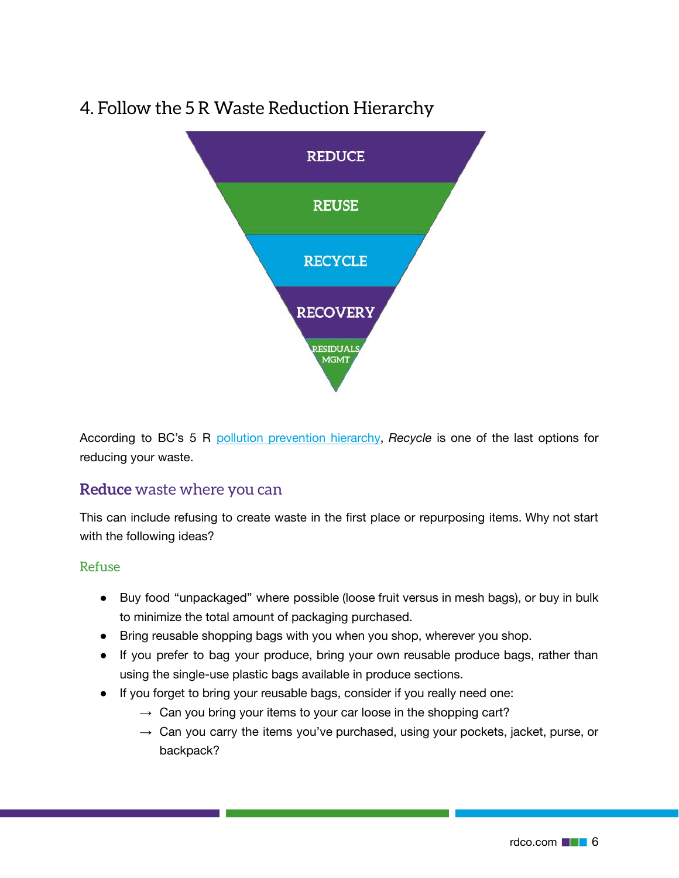## <span id="page-5-0"></span>4. Follow the 5 R Waste Reduction Hierarchy



According to BC's 5 R [pollution prevention hierarchy](https://www2.gov.bc.ca/gov/content/environment/waste-management/zero-waste), *Recycle* is one of the last options for reducing your waste.

#### <span id="page-5-1"></span>**Reduce** waste where you can

This can include refusing to create waste in the first place or repurposing items. Why not start with the following ideas?

#### <span id="page-5-2"></span>Refuse

- **●** Buy food "unpackaged" where possible (loose fruit versus in mesh bags), or buy in bulk to minimize the total amount of packaging purchased.
- **●** Bring reusable shopping bags with you when you shop, wherever you shop.
- **●** If you prefer to bag your produce, bring your own reusable produce bags, rather than using the single-use plastic bags available in produce sections.
- **●** If you forget to bring your reusable bags, consider if you really need one:
	- $\rightarrow$  Can you bring your items to your car loose in the shopping cart?
	- $\rightarrow$  Can you carry the items you've purchased, using your pockets, jacket, purse, or backpack?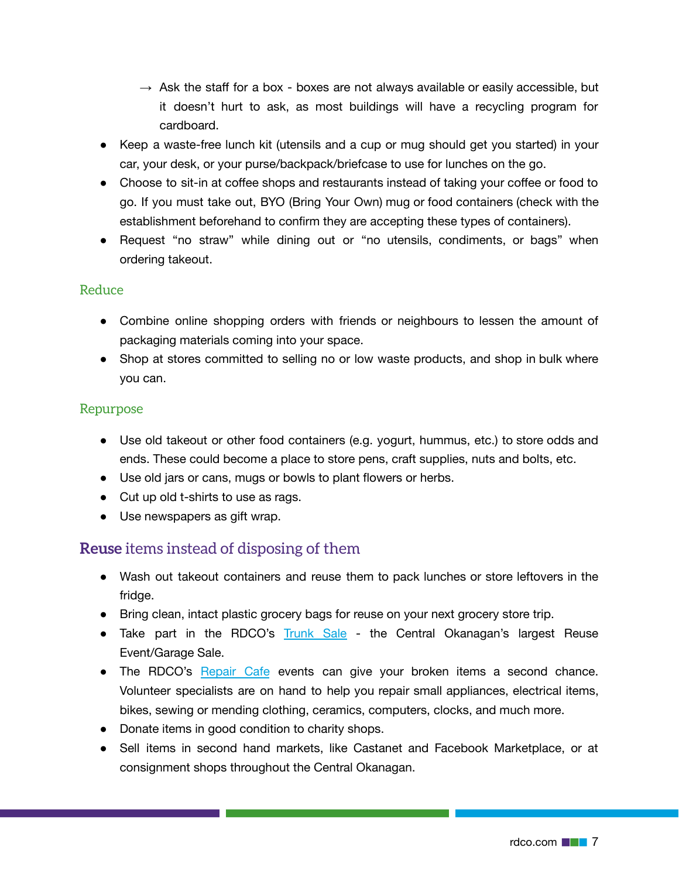- $\rightarrow$  Ask the staff for a box boxes are not always available or easily accessible, but it doesn't hurt to ask, as most buildings will have a recycling program for cardboard.
- **●** Keep a waste-free lunch kit (utensils and a cup or mug should get you started) in your car, your desk, or your purse/backpack/briefcase to use for lunches on the go.
- **●** Choose to sit-in at coffee shops and restaurants instead of taking your coffee or food to go. If you must take out, BYO (Bring Your Own) mug or food containers (check with the establishment beforehand to confirm they are accepting these types of containers).
- **●** Request "no straw" while dining out or "no utensils, condiments, or bags" when ordering takeout.

#### <span id="page-6-0"></span>Reduce

- **●** Combine online shopping orders with friends or neighbours to lessen the amount of packaging materials coming into your space.
- **●** Shop at stores committed to selling no or low waste products, and shop in bulk where you can.

#### <span id="page-6-1"></span>Repurpose

- **●** Use old takeout or other food containers (e.g. yogurt, hummus, etc.) to store odds and ends. These could become a place to store pens, craft supplies, nuts and bolts, etc.
- **●** Use old jars or cans, mugs or bowls to plant flowers or herbs.
- **●** Cut up old t-shirts to use as rags.
- **●** Use newspapers as gift wrap.

#### <span id="page-6-2"></span>**Reuse** items instead of disposing of them

- **●** Wash out takeout containers and reuse them to pack lunches or store leftovers in the fridge.
- **●** Bring clean, intact plastic grocery bags for reuse on your next grocery store trip.
- **●** Take part in the RDCO's [Trunk Sale](https://www.rdco.com/en/living-here/annual-programs-and-events.aspx#Trunk-sale) the Central Okanagan's largest Reuse Event/Garage Sale.
- **●** The RDCO's [Repair Cafe](https://www.rdco.com/en/living-here/annual-programs-and-events.aspx#Repair-caf) events can give your broken items a second chance. Volunteer specialists are on hand to help you repair small appliances, electrical items, bikes, sewing or mending clothing, ceramics, computers, clocks, and much more.
- **●** Donate items in good condition to charity shops.
- **●** Sell items in second hand markets, like Castanet and Facebook Marketplace, or at consignment shops throughout the Central Okanagan.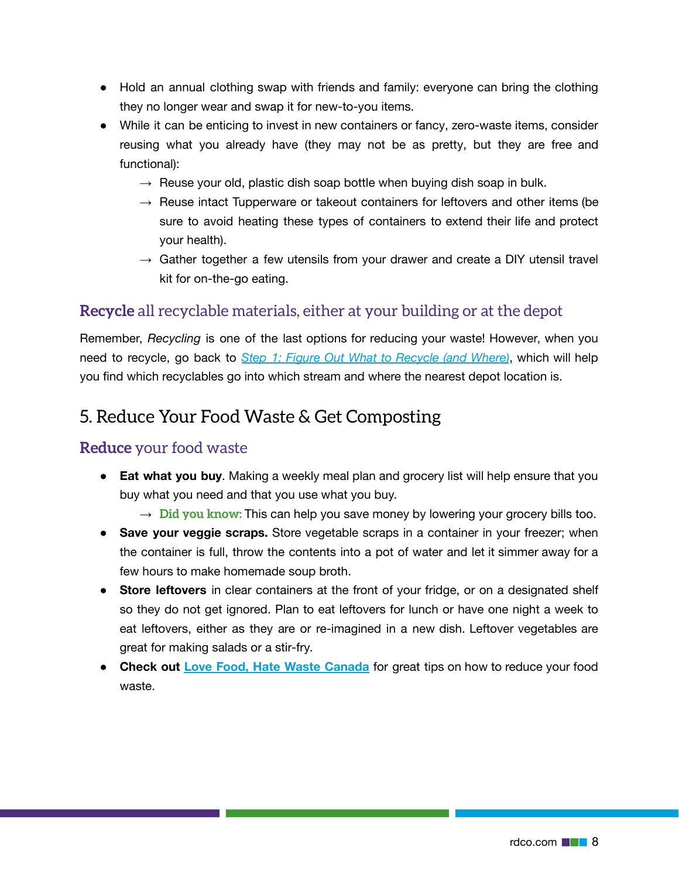- **●** Hold an annual clothing swap with friends and family: everyone can bring the clothing they no longer wear and swap it for new-to-you items.
- **●** While it can be enticing to invest in new containers or fancy, zero-waste items, consider reusing what you already have (they may not be as pretty, but they are free and functional):
	- $\rightarrow$  Reuse your old, plastic dish soap bottle when buying dish soap in bulk.
	- $\rightarrow$  Reuse intact Tupperware or takeout containers for leftovers and other items (be sure to avoid heating these types of containers to extend their life and protect your health).
	- $\rightarrow$  Gather together a few utensils from your drawer and create a DIY utensil travel kit for on-the-go eating.

#### <span id="page-7-1"></span>**Recycle** all recyclable materials, either at your building or at the depot

Remember, *Recycling* is one of the last options for reducing your waste! However, when you need to recycle, go back to *[Step 1: Figure Out What to Recycle \(and Where\)](#page-2-0)*, which will help you find which recyclables go into which stream and where the nearest depot location is.

### <span id="page-7-0"></span>5. Reduce Your Food Waste & Get Composting

#### <span id="page-7-2"></span>**Reduce** your food waste

- **Eat what you buy**. Making a weekly meal plan and grocery list will help ensure that you buy what you need and that you use what you buy.
	- $\rightarrow$  Did you know: This can help you save money by lowering your grocery bills too.
- **Save your veggie scraps.** Store vegetable scraps in a container in your freezer; when the container is full, throw the contents into a pot of water and let it simmer away for a few hours to make homemade soup broth.
- **Store leftovers** in clear containers at the front of your fridge, or on a designated shelf so they do not get ignored. Plan to eat leftovers for lunch or have one night a week to eat leftovers, either as they are or re-imagined in a new dish. Leftover vegetables are great for making salads or a stir-fry.
- **Check out [Love Food, Hate Waste Canada](https://lovefoodhatewaste.ca/)** for great tips on how to reduce your food waste.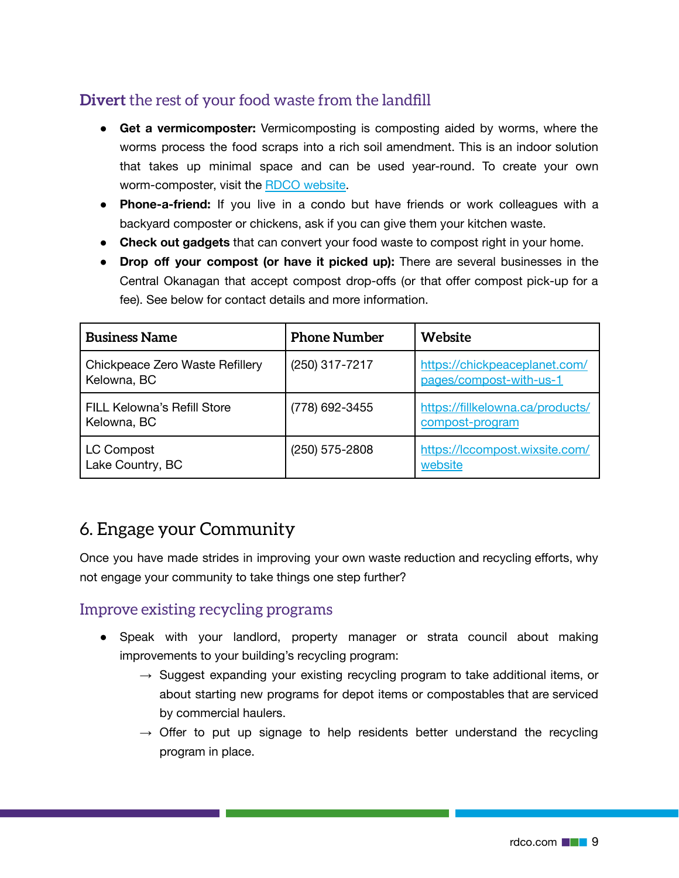### <span id="page-8-1"></span>**Divert** the rest of your food waste from the landfill

- **Get a vermicomposter:** Vermicomposting is composting aided by worms, where the worms process the food scraps into a rich soil amendment. This is an indoor solution that takes up minimal space and can be used year-round. To create your own worm-composter, visit the [RDCO website.](https://www.rdco.com/en/living-here/resources/Documents/CompostingWormBrochure.pdf)
- **Phone-a-friend:** If you live in a condo but have friends or work colleagues with a backyard composter or chickens, ask if you can give them your kitchen waste.
- **Check out gadgets** that can convert your food waste to compost right in your home.
- **Drop off your compost (or have it picked up):** There are several businesses in the Central Okanagan that accept compost drop-offs (or that offer compost pick-up for a fee). See below for contact details and more information.

| <b>Business Name</b>                              | <b>Phone Number</b> | Website                                                  |
|---------------------------------------------------|---------------------|----------------------------------------------------------|
| Chickpeace Zero Waste Refillery<br>Kelowna, BC    | (250) 317-7217      | https://chickpeaceplanet.com/<br>pages/compost-with-us-1 |
| <b>FILL Kelowna's Refill Store</b><br>Kelowna, BC | (778) 692-3455      | https://fillkelowna.ca/products/<br>compost-program      |
| LC Compost<br>Lake Country, BC                    | $(250)$ 575-2808    | https://lccompost.wixsite.com/<br>website                |

## <span id="page-8-0"></span>6. Engage your Community

Once you have made strides in improving your own waste reduction and recycling efforts, why not engage your community to take things one step further?

#### <span id="page-8-2"></span>Improve existing recycling programs

- Speak with your landlord, property manager or strata council about making improvements to your building's recycling program:
	- $\rightarrow$  Suggest expanding your existing recycling program to take additional items, or about starting new programs for depot items or compostables that are serviced by commercial haulers.
	- $\rightarrow$  Offer to put up signage to help residents better understand the recycling program in place.